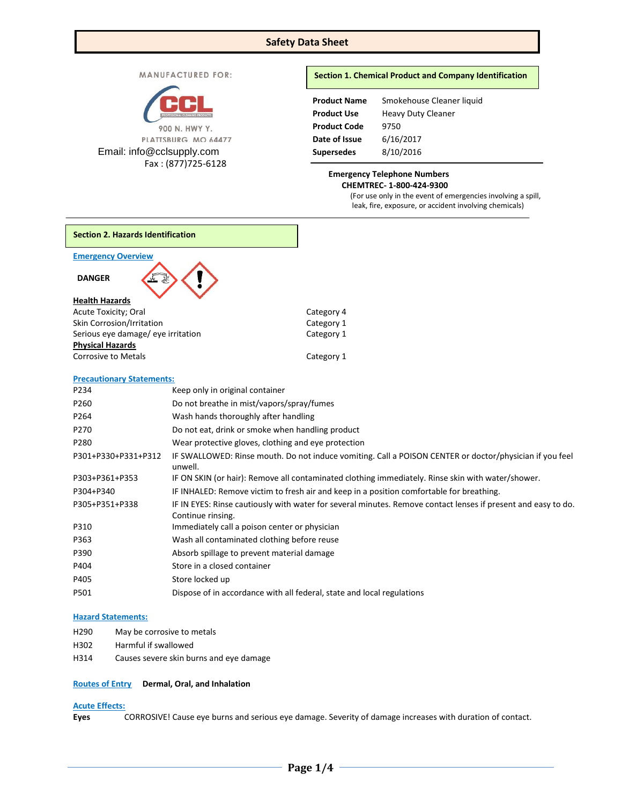# **Safety Data Sheet**

MANUFACTURED FOR:



Email: info@cclsupply.com

Fax : (877)725-6128

## **Section 1. Chemical Product and Company Identification**

| <b>Product Name</b> | Smokehouse Cleaner liquid |
|---------------------|---------------------------|
| <b>Product Use</b>  | <b>Heavy Duty Cleaner</b> |
| <b>Product Code</b> | 9750                      |
| Date of Issue       | 6/16/2017                 |
| <b>Supersedes</b>   | 8/10/2016                 |

## **Emergency Telephone Numbers CHEMTREC- 1-800-424-9300**

(For use only in the event of emergencies involving a spill, leak, fire, exposure, or accident involving chemicals)

| <b>Section 2. Hazards Identification</b>              |                                                                                                                                    |                                                                                                         |  |
|-------------------------------------------------------|------------------------------------------------------------------------------------------------------------------------------------|---------------------------------------------------------------------------------------------------------|--|
| <b>Emergency Overview</b>                             |                                                                                                                                    |                                                                                                         |  |
| <b>DANGER</b>                                         |                                                                                                                                    |                                                                                                         |  |
| <b>Health Hazards</b>                                 |                                                                                                                                    |                                                                                                         |  |
| Acute Toxicity; Oral                                  |                                                                                                                                    | Category 4                                                                                              |  |
| Skin Corrosion/Irritation                             |                                                                                                                                    | Category 1                                                                                              |  |
| Serious eye damage/ eye irritation                    |                                                                                                                                    | Category 1                                                                                              |  |
| <b>Physical Hazards</b><br><b>Corrosive to Metals</b> |                                                                                                                                    | Category 1                                                                                              |  |
| <b>Precautionary Statements:</b>                      |                                                                                                                                    |                                                                                                         |  |
| P234                                                  | Keep only in original container                                                                                                    |                                                                                                         |  |
| P260                                                  | Do not breathe in mist/vapors/spray/fumes                                                                                          |                                                                                                         |  |
| P264                                                  | Wash hands thoroughly after handling                                                                                               |                                                                                                         |  |
| P270                                                  | Do not eat, drink or smoke when handling product                                                                                   |                                                                                                         |  |
| P280                                                  | Wear protective gloves, clothing and eye protection                                                                                |                                                                                                         |  |
| P301+P330+P331+P312                                   | unwell.                                                                                                                            | IF SWALLOWED: Rinse mouth. Do not induce vomiting. Call a POISON CENTER or doctor/physician if you feel |  |
| P303+P361+P353                                        |                                                                                                                                    | IF ON SKIN (or hair): Remove all contaminated clothing immediately. Rinse skin with water/shower.       |  |
| P304+P340                                             |                                                                                                                                    | IF INHALED: Remove victim to fresh air and keep in a position comfortable for breathing.                |  |
| P305+P351+P338                                        | IF IN EYES: Rinse cautiously with water for several minutes. Remove contact lenses if present and easy to do.<br>Continue rinsing. |                                                                                                         |  |
| P310                                                  | Immediately call a poison center or physician                                                                                      |                                                                                                         |  |
| P363                                                  | Wash all contaminated clothing before reuse                                                                                        |                                                                                                         |  |
| P390                                                  | Absorb spillage to prevent material damage                                                                                         |                                                                                                         |  |
| P404                                                  | Store in a closed container                                                                                                        |                                                                                                         |  |
| P405                                                  | Store locked up                                                                                                                    |                                                                                                         |  |
| P501                                                  |                                                                                                                                    | Dispose of in accordance with all federal, state and local regulations                                  |  |
|                                                       |                                                                                                                                    |                                                                                                         |  |

## **Hazard Statements:**

- H290 May be corrosive to metals
- H302 Harmful if swallowed
- H314 Causes severe skin burns and eye damage

## **Routes of Entry Dermal, Oral, and Inhalation**

# **Acute Effects:**

**Eyes** CORROSIVE! Cause eye burns and serious eye damage. Severity of damage increases with duration of contact.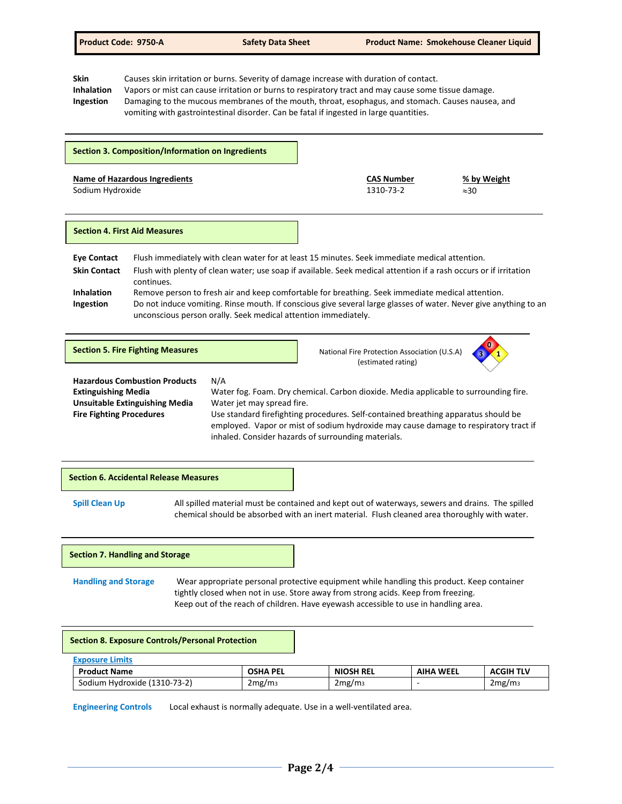**Skin** Causes skin irritation or burns. Severity of damage increase with duration of contact.<br> **Inhalation** Vapors or mist can cause irritation or burns to respiratory tract and may cause some **Inhalation** Vapors or mist can cause irritation or burns to respiratory tract and may cause some tissue damage. **Ingestion** Damaging to the mucous membranes of the mouth, throat, esophagus, and stomach. Causes nausea, and vomiting with gastrointestinal disorder. Can be fatal if ingested in large quantities.

|                                                                     | <b>Section 3. Composition/Information on Ingredients</b> |                                                                                                                                                                                                                                   |                                |                                                                                      |  |
|---------------------------------------------------------------------|----------------------------------------------------------|-----------------------------------------------------------------------------------------------------------------------------------------------------------------------------------------------------------------------------------|--------------------------------|--------------------------------------------------------------------------------------|--|
| <b>Name of Hazardous Ingredients</b><br>Sodium Hydroxide            |                                                          |                                                                                                                                                                                                                                   | <b>CAS Number</b><br>1310-73-2 | % by Weight<br>$\approx 30$                                                          |  |
|                                                                     | <b>Section 4. First Aid Measures</b>                     |                                                                                                                                                                                                                                   |                                |                                                                                      |  |
| <b>Eye Contact</b>                                                  |                                                          | Flush immediately with clean water for at least 15 minutes. Seek immediate medical attention.                                                                                                                                     |                                |                                                                                      |  |
| <b>Skin Contact</b>                                                 |                                                          | Flush with plenty of clean water; use soap if available. Seek medical attention if a rash occurs or if irritation                                                                                                                 |                                |                                                                                      |  |
|                                                                     | continues.                                               |                                                                                                                                                                                                                                   |                                |                                                                                      |  |
| <b>Inhalation</b>                                                   |                                                          | Remove person to fresh air and keep comfortable for breathing. Seek immediate medical attention.                                                                                                                                  |                                |                                                                                      |  |
| Ingestion                                                           |                                                          | Do not induce vomiting. Rinse mouth. If conscious give several large glasses of water. Never give anything to an<br>unconscious person orally. Seek medical attention immediately.                                                |                                |                                                                                      |  |
|                                                                     | <b>Section 5. Fire Fighting Measures</b>                 |                                                                                                                                                                                                                                   |                                | National Fire Protection Association (U.S.A)<br>(estimated rating)                   |  |
|                                                                     | <b>Hazardous Combustion Products</b>                     | N/A                                                                                                                                                                                                                               |                                |                                                                                      |  |
| <b>Extinguishing Media</b>                                          |                                                          |                                                                                                                                                                                                                                   |                                | Water fog. Foam. Dry chemical. Carbon dioxide. Media applicable to surrounding fire. |  |
| <b>Unsuitable Extinguishing Media</b><br>Water jet may spread fire. |                                                          |                                                                                                                                                                                                                                   |                                |                                                                                      |  |
| <b>Fire Fighting Procedures</b>                                     |                                                          | Use standard firefighting procedures. Self-contained breathing apparatus should be<br>employed. Vapor or mist of sodium hydroxide may cause damage to respiratory tract if<br>inhaled. Consider hazards of surrounding materials. |                                |                                                                                      |  |



## **Section 7. Handling and Storage**

**Handling and Storage** Wear appropriate personal protective equipment while handling this product. Keep container tightly closed when not in use. Store away from strong acids. Keep from freezing. Keep out of the reach of children. Have eyewash accessible to use in handling area.

#### **Section 8. Exposure Controls/Personal Protection**

| <b>Product Name</b>                | OSHA PEL           | NIOSH REL          | WEEL<br>AIHA | <b>ACGIH TLV</b>   |
|------------------------------------|--------------------|--------------------|--------------|--------------------|
| (1310-73-2)<br>Sodium<br>Hvdroxide | 2mg/m <sub>3</sub> | 2mg/m <sub>3</sub> |              | 2mg/m <sub>3</sub> |

**Engineering Controls** Local exhaust is normally adequate. Use in a well-ventilated area.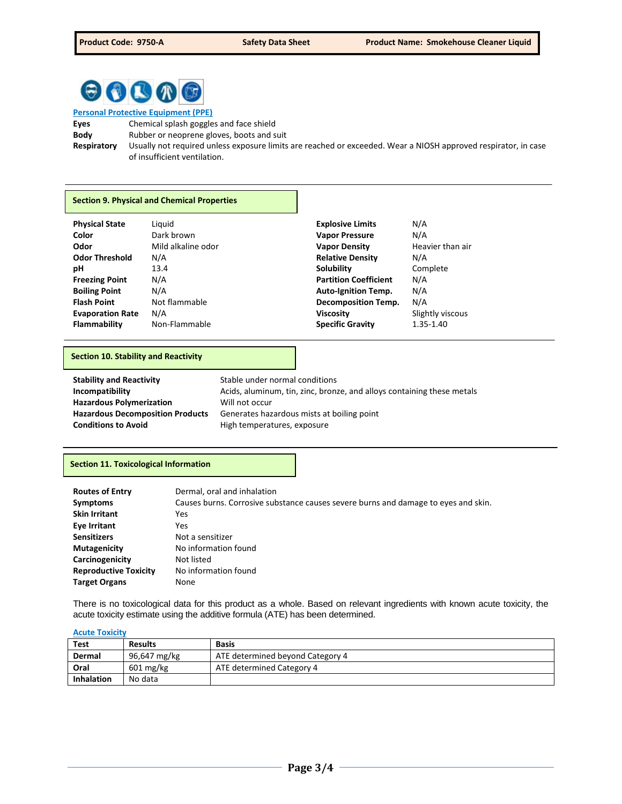

**Personal Protective Equipment (PPE) Eyes** Chemical splash goggles and face shield **Body** Rubber or neoprene gloves, boots and suit **Respiratory** Usually not required unless exposure limits are reached or exceeded. Wear a NIOSH approved respirator, in case of insufficient ventilation.

# **Section 9. Physical and Chemical Properties**

| <b>Physical State</b>   | Liguid             | <b>Explosive Limits</b>      | N/A              |
|-------------------------|--------------------|------------------------------|------------------|
| Color                   | Dark brown         | <b>Vapor Pressure</b>        | N/A              |
| Odor                    | Mild alkaline odor | <b>Vapor Density</b>         | Heavier than air |
| <b>Odor Threshold</b>   | N/A                | <b>Relative Density</b>      | N/A              |
| рH                      | 13.4               | Solubility                   | Complete         |
| <b>Freezing Point</b>   | N/A                | <b>Partition Coefficient</b> | N/A              |
| <b>Boiling Point</b>    | N/A                | <b>Auto-Ignition Temp.</b>   | N/A              |
| <b>Flash Point</b>      | Not flammable      | <b>Decomposition Temp.</b>   | N/A              |
| <b>Evaporation Rate</b> | N/A                | <b>Viscosity</b>             | Slightly viscous |
| Flammability            | Non-Flammable      | <b>Specific Gravity</b>      | 1.35-1.40        |

### **Section 10. Stability and Reactivity**

| <b>Stability and Reactivity</b>         | Stable under normal conditions                                         |
|-----------------------------------------|------------------------------------------------------------------------|
| Incompatibility                         | Acids, aluminum, tin, zinc, bronze, and alloys containing these metals |
| <b>Hazardous Polymerization</b>         | Will not occur                                                         |
| <b>Hazardous Decomposition Products</b> | Generates hazardous mists at boiling point                             |
| <b>Conditions to Avoid</b>              | High temperatures, exposure                                            |

## **Section 11. Toxicological Information**

| <b>Routes of Entry</b>       | Dermal, oral and inhalation                                                        |
|------------------------------|------------------------------------------------------------------------------------|
| <b>Symptoms</b>              | Causes burns. Corrosive substance causes severe burns and damage to eyes and skin. |
| <b>Skin Irritant</b>         | Yes                                                                                |
| Eye Irritant                 | Yes                                                                                |
| <b>Sensitizers</b>           | Not a sensitizer                                                                   |
| <b>Mutagenicity</b>          | No information found                                                               |
| Carcinogenicity              | Not listed                                                                         |
| <b>Reproductive Toxicity</b> | No information found                                                               |
| <b>Target Organs</b>         | None                                                                               |

There is no toxicological data for this product as a whole. Based on relevant ingredients with known acute toxicity, the acute toxicity estimate using the additive formula (ATE) has been determined.

#### **Acute Toxicity**

| <b>Test</b>       | <b>Results</b> | <b>Basis</b>                     |
|-------------------|----------------|----------------------------------|
| Dermal            | 96,647 mg/kg   | ATE determined beyond Category 4 |
| Oral              | 601 mg/kg      | ATE determined Category 4        |
| <b>Inhalation</b> | No data        |                                  |